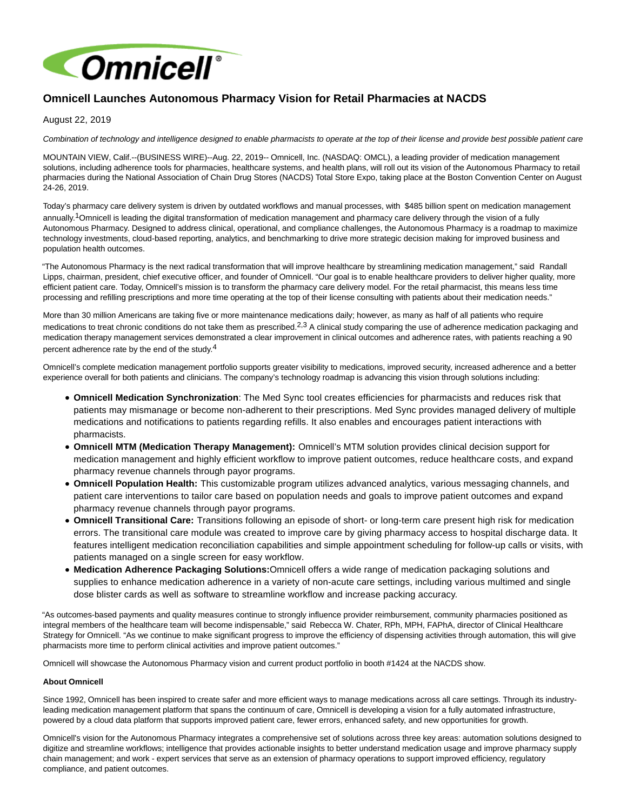

## **Omnicell Launches Autonomous Pharmacy Vision for Retail Pharmacies at NACDS**

## August 22, 2019

Combination of technology and intelligence designed to enable pharmacists to operate at the top of their license and provide best possible patient care

MOUNTAIN VIEW, Calif.--(BUSINESS WIRE)--Aug. 22, 2019-- Omnicell, Inc. (NASDAQ: OMCL), a leading provider of medication management solutions, including adherence tools for pharmacies, healthcare systems, and health plans, will roll out its vision of the Autonomous Pharmacy to retail pharmacies during the National Association of Chain Drug Stores (NACDS) Total Store Expo, taking place at the Boston Convention Center on August 24-26, 2019.

Today's pharmacy care delivery system is driven by outdated workflows and manual processes, with \$485 billion spent on medication management annually.1Omnicell is leading the digital transformation of medication management and pharmacy care delivery through the vision of a fully Autonomous Pharmacy. Designed to address clinical, operational, and compliance challenges, the Autonomous Pharmacy is a roadmap to maximize technology investments, cloud-based reporting, analytics, and benchmarking to drive more strategic decision making for improved business and population health outcomes.

"The Autonomous Pharmacy is the next radical transformation that will improve healthcare by streamlining medication management," said Randall Lipps, chairman, president, chief executive officer, and founder of Omnicell. "Our goal is to enable healthcare providers to deliver higher quality, more efficient patient care. Today, Omnicell's mission is to transform the pharmacy care delivery model. For the retail pharmacist, this means less time processing and refilling prescriptions and more time operating at the top of their license consulting with patients about their medication needs."

More than 30 million Americans are taking five or more maintenance medications daily; however, as many as half of all patients who require medications to treat chronic conditions do not take them as prescribed.<sup>2,3</sup> A clinical study comparing the use of adherence medication packaging and medication therapy management services demonstrated a clear improvement in clinical outcomes and adherence rates, with patients reaching a 90 percent adherence rate by the end of the study.4

Omnicell's complete medication management portfolio supports greater visibility to medications, improved security, increased adherence and a better experience overall for both patients and clinicians. The company's technology roadmap is advancing this vision through solutions including:

- **Omnicell Medication Synchronization**: The Med Sync tool creates efficiencies for pharmacists and reduces risk that patients may mismanage or become non-adherent to their prescriptions. Med Sync provides managed delivery of multiple medications and notifications to patients regarding refills. It also enables and encourages patient interactions with pharmacists.
- **Omnicell MTM (Medication Therapy Management):** Omnicell's MTM solution provides clinical decision support for medication management and highly efficient workflow to improve patient outcomes, reduce healthcare costs, and expand pharmacy revenue channels through payor programs.
- **Omnicell Population Health:** This customizable program utilizes advanced analytics, various messaging channels, and patient care interventions to tailor care based on population needs and goals to improve patient outcomes and expand pharmacy revenue channels through payor programs.
- **Omnicell Transitional Care:** Transitions following an episode of short- or long-term care present high risk for medication errors. The transitional care module was created to improve care by giving pharmacy access to hospital discharge data. It features intelligent medication reconciliation capabilities and simple appointment scheduling for follow-up calls or visits, with patients managed on a single screen for easy workflow.
- **Medication Adherence Packaging Solutions:**Omnicell offers a wide range of medication packaging solutions and supplies to enhance medication adherence in a variety of non-acute care settings, including various multimed and single dose blister cards as well as software to streamline workflow and increase packing accuracy.

"As outcomes-based payments and quality measures continue to strongly influence provider reimbursement, community pharmacies positioned as integral members of the healthcare team will become indispensable," said Rebecca W. Chater, RPh, MPH, FAPhA, director of Clinical Healthcare Strategy for Omnicell. "As we continue to make significant progress to improve the efficiency of dispensing activities through automation, this will give pharmacists more time to perform clinical activities and improve patient outcomes."

Omnicell will showcase the Autonomous Pharmacy vision and current product portfolio in booth #1424 at the NACDS show.

## **About Omnicell**

Since 1992, Omnicell has been inspired to create safer and more efficient ways to manage medications across all care settings. Through its industryleading medication management platform that spans the continuum of care, Omnicell is developing a vision for a fully automated infrastructure, powered by a cloud data platform that supports improved patient care, fewer errors, enhanced safety, and new opportunities for growth.

Omnicell's vision for the Autonomous Pharmacy integrates a comprehensive set of solutions across three key areas: automation solutions designed to digitize and streamline workflows; intelligence that provides actionable insights to better understand medication usage and improve pharmacy supply chain management; and work - expert services that serve as an extension of pharmacy operations to support improved efficiency, regulatory compliance, and patient outcomes.